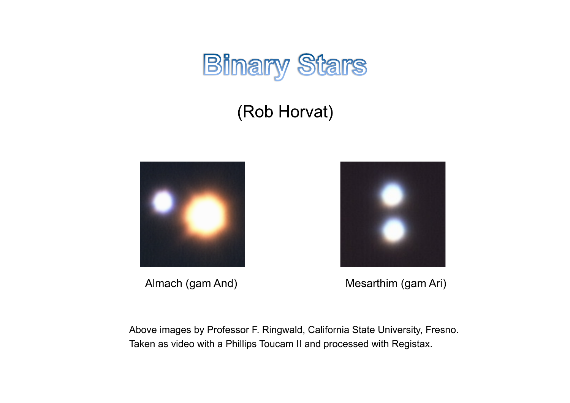

# (Rob Horvat)





Almach (gam And) Mesarthim (gam Ari)

Above images by Professor F. Ringwald, California State University, Fresno. Taken as video with a Phillips Toucam II and processed with Registax.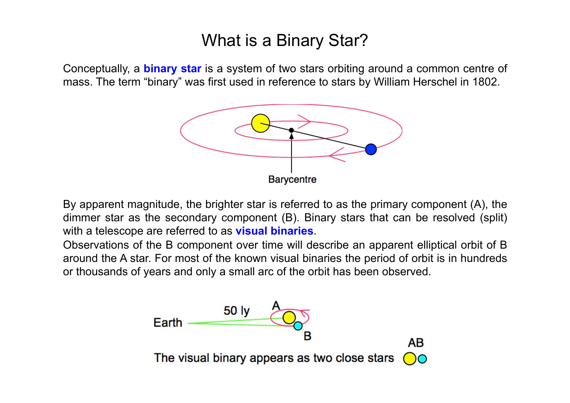# What is a Binary Star?

Conceptually, a **binary star** is a system of two stars orbiting around a common centre of mass. The term "binary" was first used in reference to stars by William Herschel in 1802.



By apparent magnitude, the brighter star is referred to as the primary component (A), the dimmer star as the secondary component (B). Binary stars that can be resolved (split) with a telescope are referred to as **visual binaries**.

Observations of the B component over time will describe an apparent elliptical orbit of B around the A star. For most of the known visual binaries the period of orbit is in hundreds or thousands of years and only a small arc of the orbit has been observed.

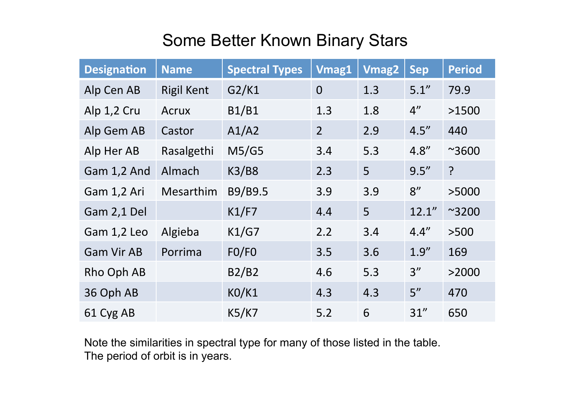# Some Better Known Binary Stars

| <b>Designation</b> | <b>Name</b>       | <b>Spectral Types</b> | <b>Vmag1</b>   | <b>Vmag2</b> | <b>Sep</b>         | <b>Period</b>  |
|--------------------|-------------------|-----------------------|----------------|--------------|--------------------|----------------|
| Alp Cen AB         | <b>Rigil Kent</b> | G2/K1                 | $\overline{0}$ | 1.3          | 5.1''              | 79.9           |
| Alp 1,2 Cru        | Acrux             | <b>B1/B1</b>          | 1.3            | 1.8          | $4^{\prime\prime}$ | >1500          |
| Alp Gem AB         | Castor            | A1/A2                 | $\overline{2}$ | 2.9          | 4.5''              | 440            |
| Alp Her AB         | Rasalgethi        | M5/G5                 | 3.4            | 5.3          | 4.8''              | $^{\sim}3600$  |
| Gam 1,2 And        | Almach            | <b>K3/B8</b>          | 2.3            | 5            | 9.5''              | $\overline{?}$ |
| Gam 1,2 Ari        | Mesarthim         | B9/B9.5               | 3.9            | 3.9          | 8''                | >5000          |
| Gam 2,1 Del        |                   | K1/F7                 | 4.4            | 5            | 12.1''             | $~^{\sim}3200$ |
| Gam 1,2 Leo        | Algieba           | K1/G7                 | 2.2            | 3.4          | 4.4''              | >500           |
| <b>Gam Vir AB</b>  | Porrima           | FO/FO                 | 3.5            | 3.6          | 1.9''              | 169            |
| Rho Oph AB         |                   | B2/B2                 | 4.6            | 5.3          | 3''                | >2000          |
| 36 Oph AB          |                   | <b>KO/K1</b>          | 4.3            | 4.3          | 5''                | 470            |
| 61 Cyg AB          |                   | K5/K7                 | 5.2            | 6            | 31''               | 650            |

Note the similarities in spectral type for many of those listed in the table. The period of orbit is in years.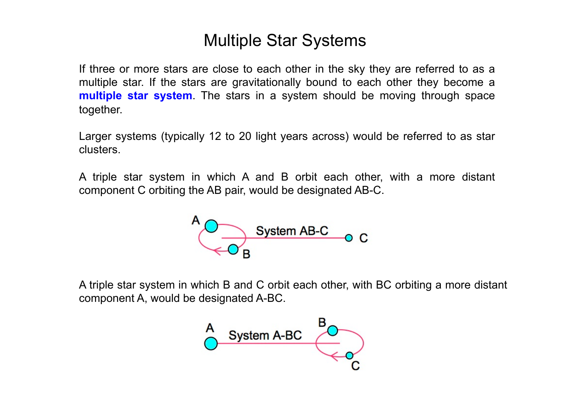# Multiple Star Systems

If three or more stars are close to each other in the sky they are referred to as a multiple star. If the stars are gravitationally bound to each other they become a **multiple star system**. The stars in a system should be moving through space together.

Larger systems (typically 12 to 20 light years across) would be referred to as star clusters.

A triple star system in which A and B orbit each other, with a more distant component C orbiting the AB pair, would be designated AB-C.



A triple star system in which B and C orbit each other, with BC orbiting a more distant component A, would be designated A-BC.

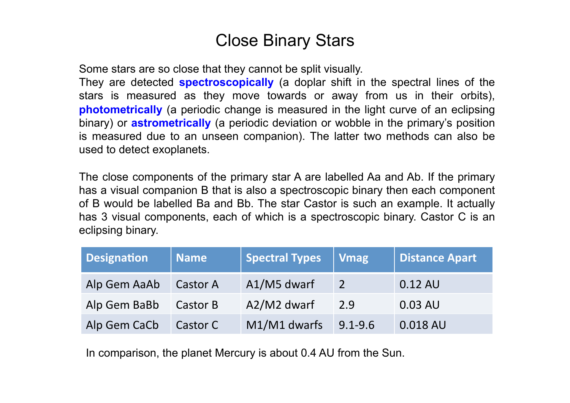## Close Binary Stars

Some stars are so close that they cannot be split visually.

They are detected **spectroscopically** (a doplar shift in the spectral lines of the stars is measured as they move towards or away from us in their orbits), **photometrically** (a periodic change is measured in the light curve of an eclipsing binary) or **astrometrically** (a periodic deviation or wobble in the primary's position is measured due to an unseen companion). The latter two methods can also be used to detect exoplanets.

The close components of the primary star A are labelled Aa and Ab. If the primary has a visual companion B that is also a spectroscopic binary then each component of B would be labelled Ba and Bb. The star Castor is such an example. It actually has 3 visual components, each of which is a spectroscopic binary. Castor C is an eclipsing binary.

| <b>Designation</b> | <b>Name</b> | <b>Spectral Types</b> | <b>Vmag</b>   | <b>Distance Apart</b> |
|--------------------|-------------|-----------------------|---------------|-----------------------|
| Alp Gem AaAb       | Castor A    | A1/M5 dwarf           | $\mathcal{P}$ | 0.12 AU               |
| Alp Gem BaBb       | Castor B    | A2/M2 dwarf           | 2.9           | $0.03$ AU             |
| Alp Gem CaCb       | Castor C    | M1/M1 dwarfs          | $9.1 - 9.6$   | 0.018 AU              |

In comparison, the planet Mercury is about 0.4 AU from the Sun.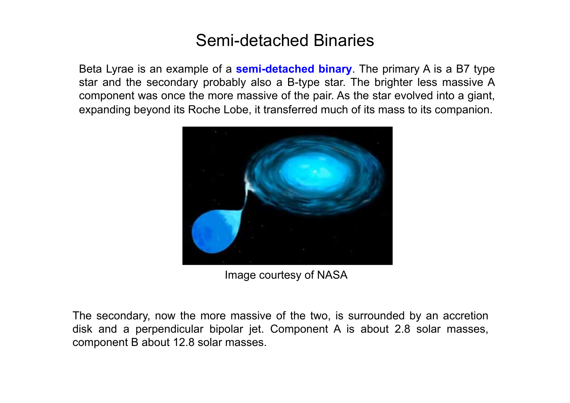## Semi-detached Binaries

Beta Lyrae is an example of a **semi-detached binary**. The primary A is a B7 type star and the secondary probably also a B-type star. The brighter less massive A component was once the more massive of the pair. As the star evolved into a giant, expanding beyond its Roche Lobe, it transferred much of its mass to its companion.



Image courtesy of NASA

The secondary, now the more massive of the two, is surrounded by an accretion disk and a perpendicular bipolar jet. Component A is about 2.8 solar masses, component B about 12.8 solar masses.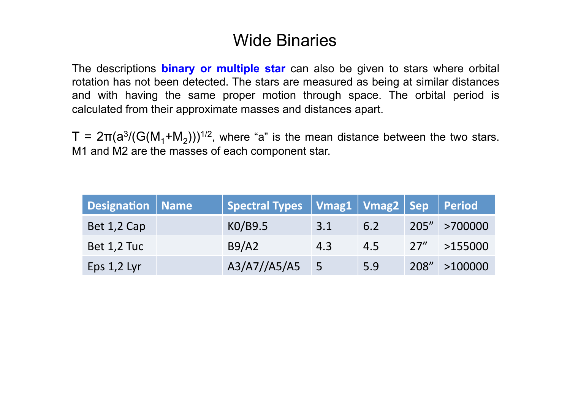## Wide Binaries

The descriptions **binary or multiple star** can also be given to stars where orbital rotation has not been detected. The stars are measured as being at similar distances and with having the same proper motion through space. The orbital period is calculated from their approximate masses and distances apart.

T =  $2\pi(a^3/(G(M_1+M_2)))^{1/2}$ , where "a" is the mean distance between the two stars. M1 and M2 are the masses of each component star.

| <b>Designation   Name</b> | <b>Spectral Types</b> | Vmag1   Vmag2   Sep   Period |     |      |               |
|---------------------------|-----------------------|------------------------------|-----|------|---------------|
| Bet 1,2 Cap               | K0/B9.5               | 3.1                          | 6.2 |      | 205" >700000  |
| Bet 1,2 Tuc               | B9/A2                 | 4.3                          | 4.5 | 27'' | >155000       |
| Eps $1,2$ Lyr             | A3/A7//A5/A5          | 5                            | 5.9 |      | 208" > 100000 |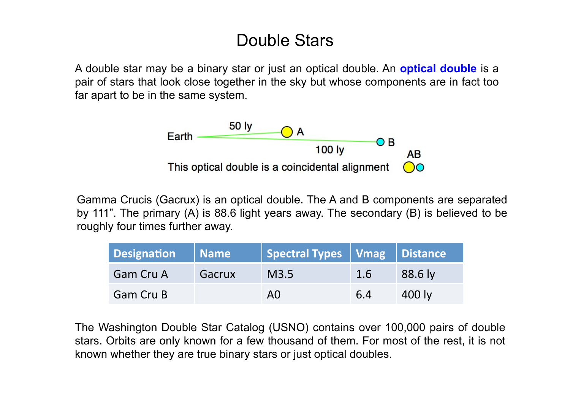## Double Stars

A double star may be a binary star or just an optical double. An **optical double** is a pair of stars that look close together in the sky but whose components are in fact too far apart to be in the same system.



Gamma Crucis (Gacrux) is an optical double. The A and B components are separated by 111". The primary (A) is 88.6 light years away. The secondary (B) is believed to be roughly four times further away.

| Designation      | Name   | Spectral Types   Vmag   Distance |     |         |
|------------------|--------|----------------------------------|-----|---------|
| <b>Gam Cru A</b> | Gacrux | M3.5                             | 1.6 | 88.6 ly |
| <b>Gam Cru B</b> |        | AO                               | 6.4 | 400 lv  |

The Washington Double Star Catalog (USNO) contains over 100,000 pairs of double stars. Orbits are only known for a few thousand of them. For most of the rest, it is not known whether they are true binary stars or just optical doubles.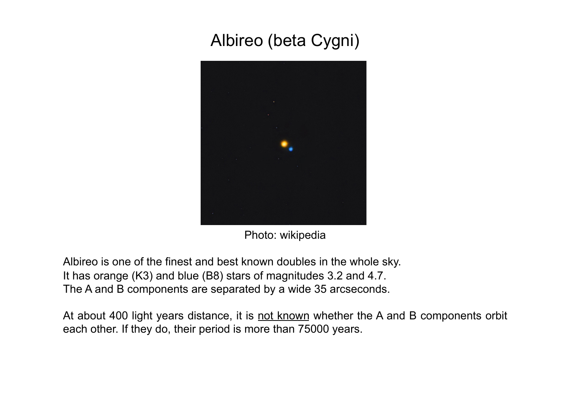# Albireo (beta Cygni)



Photo: wikipedia

Albireo is one of the finest and best known doubles in the whole sky. It has orange (K3) and blue (B8) stars of magnitudes 3.2 and 4.7. The A and B components are separated by a wide 35 arcseconds.

At about 400 light years distance, it is not known whether the A and B components orbit each other. If they do, their period is more than 75000 years.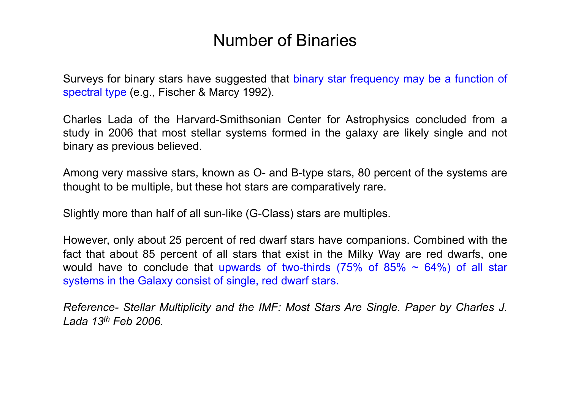## Number of Binaries

Surveys for binary stars have suggested that binary star frequency may be a function of spectral type (e.g., Fischer & Marcy 1992).

Charles Lada of the Harvard-Smithsonian Center for Astrophysics concluded from a study in 2006 that most stellar systems formed in the galaxy are likely single and not binary as previous believed.

Among very massive stars, known as O- and B-type stars, 80 percent of the systems are thought to be multiple, but these hot stars are comparatively rare.

Slightly more than half of all sun-like (G-Class) stars are multiples.

However, only about 25 percent of red dwarf stars have companions. Combined with the fact that about 85 percent of all stars that exist in the Milky Way are red dwarfs, one would have to conclude that upwards of two-thirds (75% of 85%  $\sim$  64%) of all star systems in the Galaxy consist of single, red dwarf stars.

*Reference- Stellar Multiplicity and the IMF: Most Stars Are Single. Paper by Charles J. Lada 13th Feb 2006.*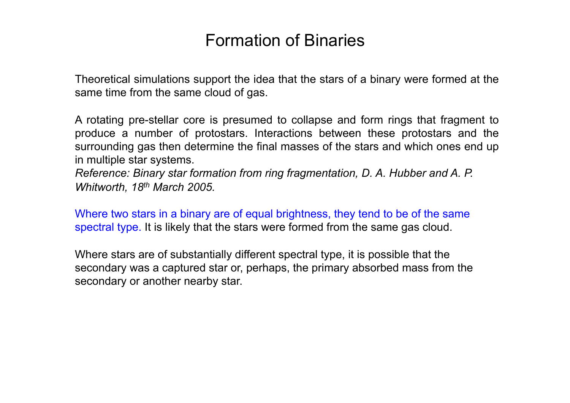### Formation of Binaries

Theoretical simulations support the idea that the stars of a binary were formed at the same time from the same cloud of gas.

A rotating pre-stellar core is presumed to collapse and form rings that fragment to produce a number of protostars. Interactions between these protostars and the surrounding gas then determine the final masses of the stars and which ones end up in multiple star systems.

*Reference: Binary star formation from ring fragmentation, D. A. Hubber and A. P. Whitworth, 18th March 2005.*

Where two stars in a binary are of equal brightness, they tend to be of the same spectral type. It is likely that the stars were formed from the same gas cloud.

Where stars are of substantially different spectral type, it is possible that the secondary was a captured star or, perhaps, the primary absorbed mass from the secondary or another nearby star.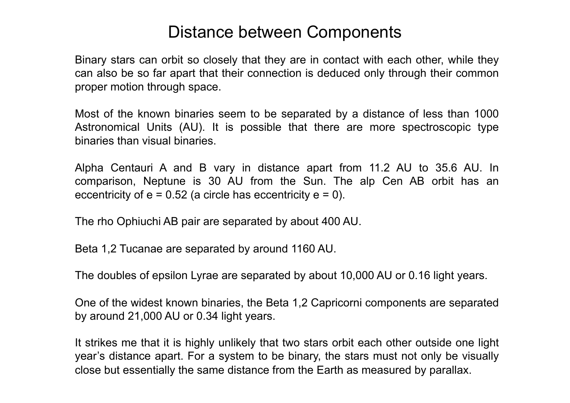#### Distance between Components

Binary stars can orbit so closely that they are in contact with each other, while they can also be so far apart that their connection is deduced only through their common proper motion through space.

Most of the known binaries seem to be separated by a distance of less than 1000 Astronomical Units (AU). It is possible that there are more spectroscopic type binaries than visual binaries.

Alpha Centauri A and B vary in distance apart from 11.2 AU to 35.6 AU. In comparison, Neptune is 30 AU from the Sun. The alp Cen AB orbit has an eccentricity of  $e = 0.52$  (a circle has eccentricity  $e = 0$ ).

The rho Ophiuchi AB pair are separated by about 400 AU.

Beta 1,2 Tucanae are separated by around 1160 AU.

The doubles of epsilon Lyrae are separated by about 10,000 AU or 0.16 light years.

One of the widest known binaries, the Beta 1,2 Capricorni components are separated by around 21,000 AU or 0.34 light years.

It strikes me that it is highly unlikely that two stars orbit each other outside one light year's distance apart. For a system to be binary, the stars must not only be visually close but essentially the same distance from the Earth as measured by parallax.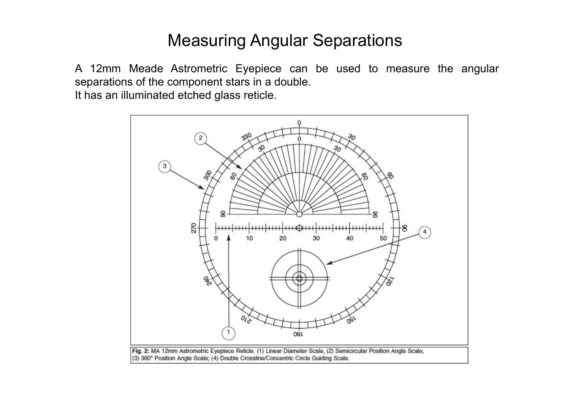## Measuring Angular Separations

A 12mm Meade Astrometric Eyepiece can be used to measure the angular separations of the component stars in a double. It has an illuminated etched glass reticle.

> g 50 30 08L Fig. 2: MA 12mm Astrometric Eyepiece Reticle. (1) Linear Diameter Scale, (2) Semicircular Position Angle Scale; (3) 360° Position Angle Scale; (4) Double Crossline/Concentric Circle Guiding Scale.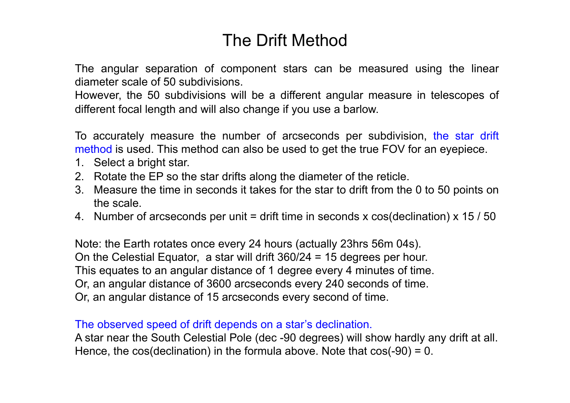# The Drift Method

The angular separation of component stars can be measured using the linear diameter scale of 50 subdivisions.

However, the 50 subdivisions will be a different angular measure in telescopes of different focal length and will also change if you use a barlow.

To accurately measure the number of arcseconds per subdivision, the star drift method is used. This method can also be used to get the true FOV for an eyepiece.

- 1. Select a bright star.
- 2. Rotate the EP so the star drifts along the diameter of the reticle.
- 3. Measure the time in seconds it takes for the star to drift from the 0 to 50 points on the scale.
- 4. Number of arcseconds per unit = drift time in seconds x cos(declination) x 15 / 50

Note: the Earth rotates once every 24 hours (actually 23hrs 56m 04s). On the Celestial Equator, a star will drift 360/24 = 15 degrees per hour. This equates to an angular distance of 1 degree every 4 minutes of time. Or, an angular distance of 3600 arcseconds every 240 seconds of time. Or, an angular distance of 15 arcseconds every second of time.

The observed speed of drift depends on a star's declination.

A star near the South Celestial Pole (dec -90 degrees) will show hardly any drift at all. Hence, the  $cos(declination)$  in the formula above. Note that  $cos(-90) = 0$ .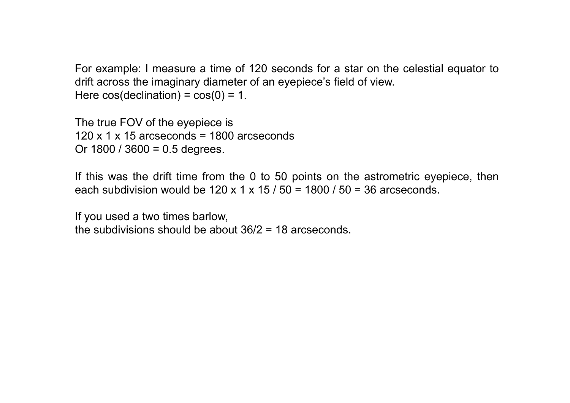For example: I measure a time of 120 seconds for a star on the celestial equator to drift across the imaginary diameter of an eyepiece's field of view. Here  $cos(declination) = cos(0) = 1$ .

The true FOV of the eyepiece is 120 x 1 x 15 arcseconds =  $1800$  arcseconds Or  $1800 / 3600 = 0.5$  degrees.

If this was the drift time from the 0 to 50 points on the astrometric eyepiece, then each subdivision would be  $120 \times 1 \times 15 / 50 = 1800 / 50 = 36$  arcseconds.

If you used a two times barlow, the subdivisions should be about 36/2 = 18 arcseconds.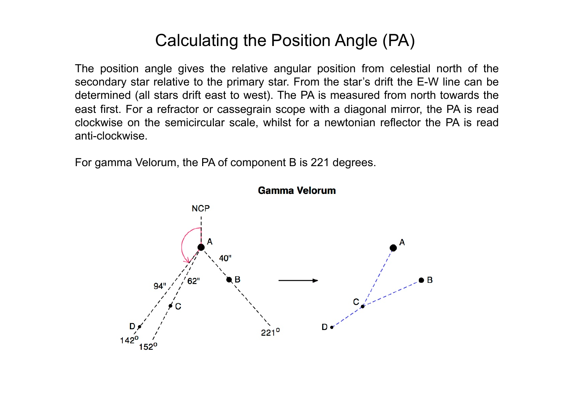# Calculating the Position Angle (PA)

The position angle gives the relative angular position from celestial north of the secondary star relative to the primary star. From the star's drift the E-W line can be determined (all stars drift east to west). The PA is measured from north towards the east first. For a refractor or cassegrain scope with a diagonal mirror, the PA is read clockwise on the semicircular scale, whilst for a newtonian reflector the PA is read anti-clockwise.

For gamma Velorum, the PA of component B is 221 degrees.